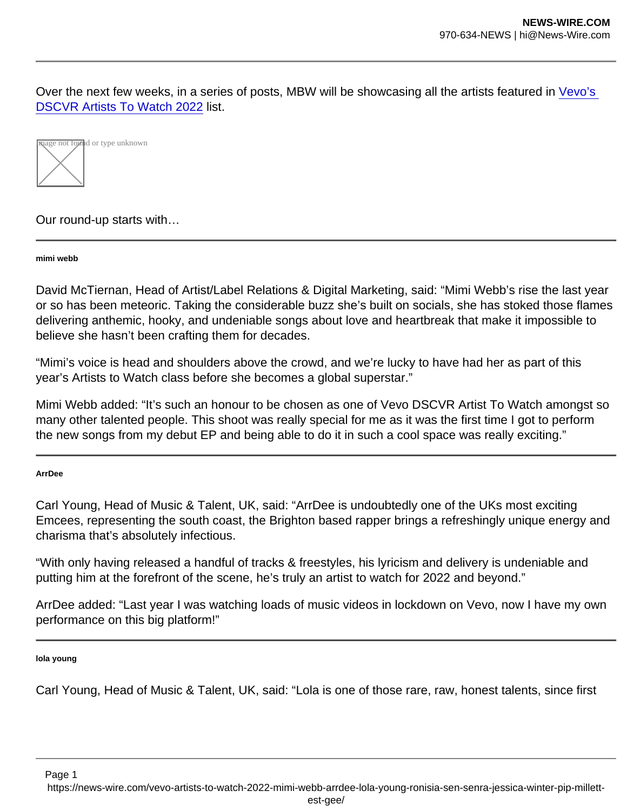Over the next few weeks, in a series of posts, MBW will be showcasing all the artists featured in [Vevo's](https://www.musicbusinessworldwide.com/vevo-unveils-2022s-artists-to-watch-partners-with-mbw-to-showcase-rising-stars/)  [DSCVR Artists To Watch 2022](https://www.musicbusinessworldwide.com/vevo-unveils-2022s-artists-to-watch-partners-with-mbw-to-showcase-rising-stars/) list.



Our round-up starts with…

mimi webb

David McTiernan, Head of Artist/Label Relations & Digital Marketing, said: "Mimi Webb's rise the last year or so has been meteoric. Taking the considerable buzz she's built on socials, she has stoked those flames delivering anthemic, hooky, and undeniable songs about love and heartbreak that make it impossible to believe she hasn't been crafting them for decades.

"Mimi's voice is head and shoulders above the crowd, and we're lucky to have had her as part of this year's Artists to Watch class before she becomes a global superstar."

Mimi Webb added: "It's such an honour to be chosen as one of Vevo DSCVR Artist To Watch amongst so many other talented people. This shoot was really special for me as it was the first time I got to perform the new songs from my debut EP and being able to do it in such a cool space was really exciting."

ArrDee

Carl Young, Head of Music & Talent, UK, said: "ArrDee is undoubtedly one of the UKs most exciting Emcees, representing the south coast, the Brighton based rapper brings a refreshingly unique energy and charisma that's absolutely infectious.

"With only having released a handful of tracks & freestyles, his lyricism and delivery is undeniable and putting him at the forefront of the scene, he's truly an artist to watch for 2022 and beyond."

ArrDee added: "Last year I was watching loads of music videos in lockdown on Vevo, now I have my own performance on this big platform!"

lola young

Carl Young, Head of Music & Talent, UK, said: "Lola is one of those rare, raw, honest talents, since first

Page 1 https://news-wire.com/vevo-artists-to-watch-2022-mimi-webb-arrdee-lola-young-ronisia-sen-senra-jessica-winter-pip-millett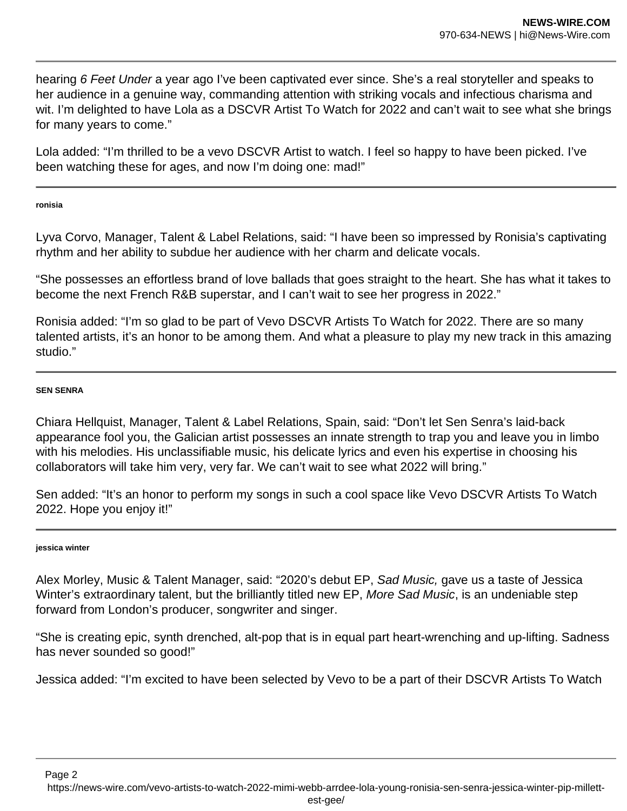hearing 6 Feet Under a year ago I've been captivated ever since. She's a real storyteller and speaks to her audience in a genuine way, commanding attention with striking vocals and infectious charisma and wit. I'm delighted to have Lola as a DSCVR Artist To Watch for 2022 and can't wait to see what she brings for many years to come."

Lola added: "I'm thrilled to be a vevo DSCVR Artist to watch. I feel so happy to have been picked. I've been watching these for ages, and now I'm doing one: mad!"

**ronisia**

Lyva Corvo, Manager, Talent & Label Relations, said: "I have been so impressed by Ronisia's captivating rhythm and her ability to subdue her audience with her charm and delicate vocals.

"She possesses an effortless brand of love ballads that goes straight to the heart. She has what it takes to become the next French R&B superstar, and I can't wait to see her progress in 2022."

Ronisia added: "I'm so glad to be part of Vevo DSCVR Artists To Watch for 2022. There are so many talented artists, it's an honor to be among them. And what a pleasure to play my new track in this amazing studio."

## **SEN SENRA**

Chiara Hellquist, Manager, Talent & Label Relations, Spain, said: "Don't let Sen Senra's laid-back appearance fool you, the Galician artist possesses an innate strength to trap you and leave you in limbo with his melodies. His unclassifiable music, his delicate lyrics and even his expertise in choosing his collaborators will take him very, very far. We can't wait to see what 2022 will bring."

Sen added: "It's an honor to perform my songs in such a cool space like Vevo DSCVR Artists To Watch 2022. Hope you enjoy it!"

## **jessica winter**

Alex Morley, Music & Talent Manager, said: "2020's debut EP, Sad Music, gave us a taste of Jessica Winter's extraordinary talent, but the brilliantly titled new EP, More Sad Music, is an undeniable step forward from London's producer, songwriter and singer.

"She is creating epic, synth drenched, alt-pop that is in equal part heart-wrenching and up-lifting. Sadness has never sounded so good!"

Jessica added: "I'm excited to have been selected by Vevo to be a part of their DSCVR Artists To Watch